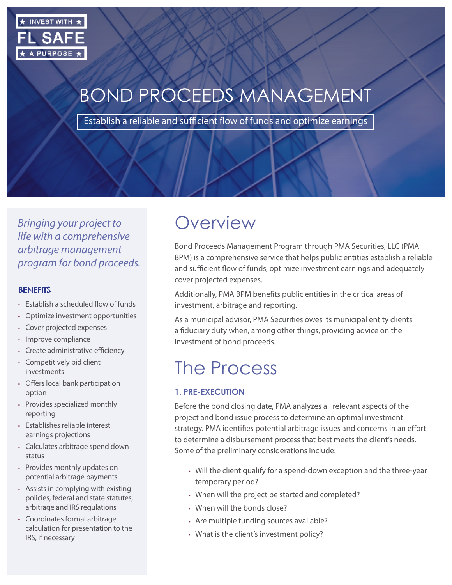

# BOND PROCEEDS MANAGEMENT

Establish a reliable and sufficient flow of funds and optimize earnings

*Bringing your project to life with a comprehensive arbitrage management program for bond proceeds.*

#### **BENEFITS**

- Establish a scheduled flow of funds
- Optimize investment opportunities
- Cover projected expenses
- Improve compliance
- Create administrative efficiency
- Competitively bid client investments
- Offers local bank participation option
- Provides specialized monthly reporting
- Establishes reliable interest earnings projections
- Calculates arbitrage spend down status
- Provides monthly updates on potential arbitrage payments
- Assists in complying with existing policies, federal and state statutes, arbitrage and IRS regulations
- Coordinates formal arbitrage calculation for presentation to the IRS, if necessary

## **Overview**

Bond Proceeds Management Program through PMA Securities, LLC (PMA BPM) is a comprehensive service that helps public entities establish a reliable and sufficient flow of funds, optimize investment earnings and adequately cover projected expenses.

Additionally, PMA BPM benefits public entities in the critical areas of investment, arbitrage and reporting.

As a municipal advisor, PMA Securities owes its municipal entity clients a fiduciary duty when, among other things, providing advice on the investment of bond proceeds.

## The Process

#### **1. PRE-EXECUTION**

Before the bond closing date, PMA analyzes all relevant aspects of the project and bond issue process to determine an optimal investment strategy. PMA identifies potential arbitrage issues and concerns in an effort to determine a disbursement process that best meets the client's needs. Some of the preliminary considerations include:

- Will the client qualify for a spend-down exception and the three-year temporary period?
- When will the project be started and completed?
- When will the bonds close?
- Are multiple funding sources available?
- What is the client's investment policy?